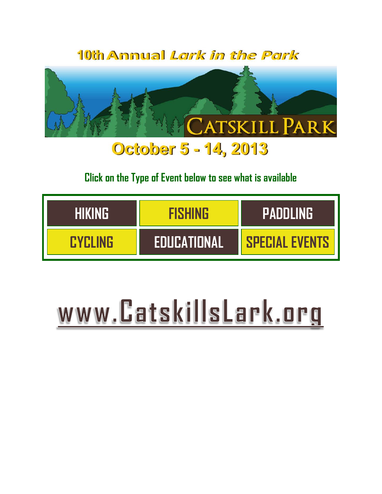10th Annual Lark in the Park



# **Click on the Type of Event below to see what is available**

| <b>THIKING</b> | FISHING            | <b>PADDLING</b>       |
|----------------|--------------------|-----------------------|
| <b>FYELING</b> | <b>EDUCATIONAL</b> | <b>SPECIAL EVENTS</b> |

# www.CatskillsLark.org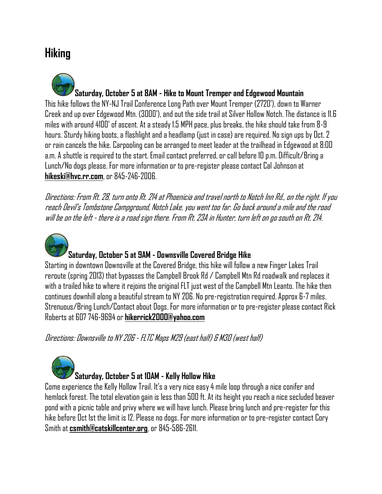# <span id="page-1-0"></span>**Hiking**

**Saturday, October 5 at 8AM - Hike to Mount Tremper and Edgewood Mountain** This hike follows the NY-NJ Trail Conference Long Path over Mount Tremper (2720'), down to Warner Creek and up over Edgewood Mtn. (3000'), and out the side trail at Silver Hollow Notch. The distance is 11.6 miles with around 4100' of ascent. At a steady 1.5 MPH pace, plus breaks, the hike should take from 8-9 hours. Sturdy hiking boots, a flashlight and a headlamp (just in case) are required. No sign ups by Oct. 2 or rain cancels the hike. Carpooling can be arranged to meet leader at the trailhead in Edgewood at 8:00 a.m. A shuttle is required to the start. Email contact preferred, or call before 10 p.m. Difficult/Bring a Lunch/No dogs please. For more information or to pre-register please contact Cal Johnson at **hikeski@hvc.rr.com**, or 845-246-2006.

Directions: From Rt. 28, turn onto Rt. 214 at Phoenicia and travel north to Notch Inn Rd., on the right. If you reach Devil's Tombstone Campground, Notch Lake, you went too far. Go back around a mile and the road will be on the left - there is a road sign there. From Rt. 23A in Hunter, turn left on go south on Rt. 214.



## **Saturday, October 5 at 9AM - Downsville Covered Bridge Hike**

Starting in downtown Downsville at the Covered Bridge, this hike will follow a new Finger Lakes Trail reroute (spring 2013) that bypasses the Campbell Brook Rd / Campbell Mtn Rd roadwalk and replaces it with a trailed hike to where it rejoins the original FLT just west of the Campbell Mtn Leanto. The hike then continues downhill along a beautiful stream to NY 206. No pre-registration required. Approx 6-7 miles. Strenuous/Bring Lunch/Contact about Dogs. For more information or to pre-register please contact Rick Roberts at 607 746-9694 or **hikerrick2000@yahoo.com**

Directions: Downsville to NY 206 - FLTC Maps M29 (east half) & M30 (west half)



## **Saturday, October 5 at 10AM - Kelly Hollow Hike**

Come experience the Kelly Hollow Trail. It's a very nice easy 4 mile loop through a nice conifer and hemlock forest. The total elevation gain is less than 500 ft. At its height you reach a nice secluded beaver pond with a picnic table and privy where we will have lunch. Please bring lunch and pre-register for this hike before Oct 1st the limit is 12. Please no dogs. For more information or to pre-register contact Cory Smith at **csmith@catskillcenter.org**, or 845-586-2611.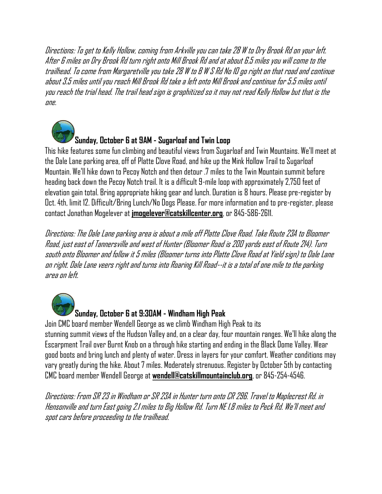Directions: To get to Kelly Hollow, coming from Arkville you can take 28 W to Dry Brook Rd on your left. After 6 miles on Dry Brook Rd turn right onto Mill Brook Rd and at about 6.5 miles you will come to the trailhead. To come from Margaretville you take 28 W to B W S Rd No 10 go right on that road and continue about 3.5 miles until you reach Mill Brook Rd take a left onto Mill Brook and continue for 5.5 miles until you reach the trial head. The trail head sign is graphitized so it may not read Kelly Hollow but that is the ane.



## **Sunday, October 6 at 9AM - Sugarloaf and Twin Loop**

This hike features some fun climbing and beautiful views from Sugarloaf and Twin Mountains. We'll meet at the Dale Lane parking area, off of Platte Clove Road, and hike up the Mink Hollow Trail to Sugarloaf Mountain. We'll hike down to Pecoy Notch and then detour .7 miles to the Twin Mountain summit before heading back down the Pecoy Notch trail. It is a difficult 9-mile loop with approximately 2,750 feet of elevation gain total. Bring appropriate hiking gear and lunch. Duration is 8 hours. Please pre-register by Oct. 4th, limit 12. Difficult/Bring Lunch/No Dogs Please. For more information and to pre-register, please contact Jonathan Mogelever at **jmogelever@catskillcenter.org**, or 845-586-2611.

Directions: The Dale Lane parking area is about a mile off Platte Clove Road. Take Route 23A to Bloomer Road, just east of Tannersville and west of Hunter (Bloomer Road is 200 yards east of Route 214). Turn south onto Bloomer and follow it 5 miles (Bloomer turns into Platte Clove Road at Yield sign) to Dale Lane on right. Dale Lane veers right and turns into Roaring Kill Road--it is a total of one mile to the parking area on left.



**Sunday, October 6 at 9:30AM - Windham High Peak**

Join CMC board member Wendell George as we climb Windham High Peak to its stunning summit views of the Hudson Valley and, on a clear day, four mountain ranges. We'll hike along the Escarpment Trail over Burnt Knob on a through hike starting and ending in the Black Dome Valley. Wear good boots and bring lunch and plenty of water. Dress in layers for your comfort. Weather conditions may vary greatly during the hike. About 7 miles. Moderately strenuous. Register by October 5th by contacting CMC board member Wendell George at **wendell@catskillmountainclub.org**, or 845-254-4546.

Directions: From SR 23 in Windham or SR 23A in Hunter turn onto CR 296. Travel to Maplecrest Rd. in Hensonville and turn East going 2.1 miles to Big Hollow Rd. Turn NE 1.8 miles to Peck Rd. We'll meet and spot cars before proceeding to the trailhead.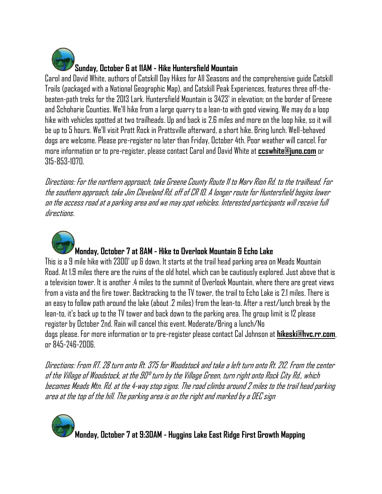

Carol and David White, authors of Catskill Day Hikes for All Seasons and the comprehensive guide Catskill Trails (packaged with a National Geographic Map), and Catskill Peak Experiences, features three off-thebeaten-path treks for the 2013 Lark. Huntersfield Mountain is 3423' in elevation; on the border of Greene and Schoharie Counties. We'll hike from a large quarry to a lean-to with good viewing. We may do a loop hike with vehicles spotted at two trailheads. Up and back is 2.6 miles and more on the loop hike, so it will be up to 5 hours. We'll visit Pratt Rock in Prattsville afterward, a short hike. Bring lunch. Well-behaved dogs are welcome. Please pre-register no later than Friday, October 4th. Poor weather will cancel. For more information or to pre-register, please contact Carol and David White at **ccswhite@juno.com** or 315-853-1070.

Directions: For the northern approach, take Greene County Route 11 to Marv Rion Rd. to the trailhead. For thesouthern approach, take Jim Cleveland Rd. off of CR 10. A longer route for Huntersfield begins lower on the access road at a parking area and we may spot vehicles. Interested participants will receive full directions.



#### **Monday, October 7 at 8AM - Hike to Overlook Mountain & Echo Lake**

This is a 9 mile hike with 2300' up & down. It starts at the trail head parking area on Meads Mountain Road. At 1.9 miles there are the ruins of the old hotel, which can be cautiously explored. Just above that is a television tower. It is another .4 miles to the summit of Overlook Mountain, where there are great views from a vista and the fire tower. Backtracking to the TV tower, the trail to Echo Lake is 2.1 miles. There is an easy to follow path around the lake (about .2 miles) from the lean-to. After a rest/lunch break by the lean-to, it's back up to the TV tower and back down to the parking area. The group limit is 12 please register by October 2nd. Rain will cancel this event. Moderate/Bring a lunch/No dogs please. For more information or to pre-register please contact Cal Johnson at **hikeski@hvc.rr.com**, or 845-246-2006.

Directions: From RT. 28 turn onto Rt. 375 for Woodstock and take a left turn onto Rt. 212. From the center of the Village of Woodstock, at the 90° turn by the Village Green, turn right onto Rock City Rd., which becomes Meads Mtn. Rd. at the 4-way stop signs. The road climbs around 2 miles to the trail head parking area at the top of the hill. The parking area is on the right and marked by a DEC sign

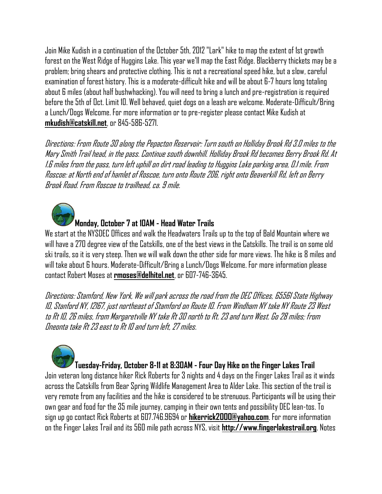Join Mike Kudish in a continuation of the October 5th, 2012 "Lark" hike to map the extent of 1st growth forest on the West Ridge of Huggins Lake. This year we'll map the East Ridge. Blackberry thickets may be a problem; bring shears and protective clothing. This is not a recreational speed hike, but a slow, careful examination of forest history. This is a moderate-difficult hike and will be about 6-7 hours long totaling about 6 miles (about half bushwhacking). You will need to bring a lunch and pre-registration is required before the 5th of Oct. Limit 10. Well behaved, quiet dogs on a leash are welcome. Moderate-Difficult/Bring a Lunch/Dogs Welcome. For more information or to pre-register please contact Mike Kudish at **mkudish@catskill.net**, or 845-586-5271.

Directions: From Route 30 along the Pepacton Reservoir: Turn south on Holliday Brook Rd 3.0 miles to the Mary Smith Trail head, in the pass. Continue south downhill. Holliday Brook Rd becomes Berry Brook Rd. At 1.6 miles from the pass, turn left uphill on dirt road leading to Huggins Lake parking area, 0.1 mile. From Roscoe: at North end of hamlet of Roscoe, turn onto Route 206, right onto Beaverkill Rd, left on Berry Brook Road. From Roscoe to trailhead, ca. 9 mile.



#### **Monday, October 7 at 10AM - Head Water Trails**

We start at the NYSDEC Offices and walk the Headwaters Trails up to the top of Bald Mountain where we will have a 270 degree view of the Catskills, one of the best views in the Catskills. The trail is on some old ski trails, so it is very steep. Then we will walk down the other side for more views. The hike is 8 miles and will take about 6 hours. Moderate-Difficult/Bring a Lunch/Dogs Welcome. For more information please contact Robert Moses at **rmoses@delhitel.net**, or 607-746-3645.

Directions: Stamford, New York, We will park across the road from the DEC Offices, 65561 State Highway 10, Stanford NY, 12167, just northeast of Stamford on Route 10. From Windham NY take NY Route 23 West to Rt 10, 26 miles, from Margaretville NY take Rt 30 north to Rt. 23 and turn West. Go 28 miles; from Oneonta take Rt 23 east to Rt 10 and turn left, 27 miles.

# **Tuesday-Friday, October 8-11 at 8:30AM - Four Day Hike on the Finger Lakes Trail**

Join veteran long distance hiker Rick Roberts for 3 nights and 4 days on the Finger Lakes Trail as it winds across the Catskills from Bear Spring Wildlife Management Area to Alder Lake. This section of the trail is very remote from any facilities and the hike is considered to be strenuous. Participants will be using their own gear and food for the 35 mile journey, camping in their own tents and possibility DEC lean-tos. To sign up go contact Rick Roberts at 607.746.9694 or **hikerrick2000@yahoo.com**. For more information on the Finger Lakes Trail and its 560 mile path across NYS, visit **http://www.fingerlakestrail.org**. Notes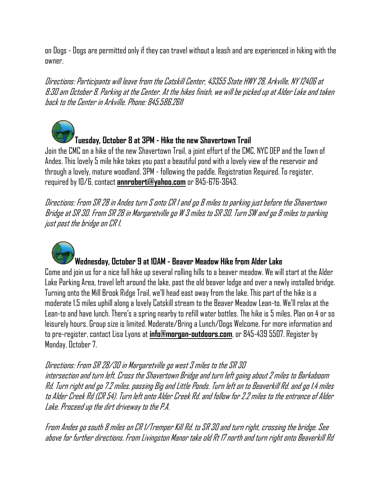on Dogs - Dogs are permitted only if they can travel without a leash and are experienced in hiking with the owner.

Directions: Participants will leave from the Catskill Center, 43355 State HWY 28, Arkville, NY 12406 at 8:30 am October 8. Parking at the Center. At the hikes finish, we will be picked up at Alder Lake and taken back to the Center in Arkville. Phone: 845.586.2611



## **Tuesday, October 8 at 3PM - Hike the new Shavertown Trail**

Join the CMC on a hike of the new Shavertown Trail, a joint effort of the CMC, NYC DEP and the Town of Andes. This lovely 5 mile hike takes you past a beautiful pond with a lovely view of the reservoir and through a lovely, mature woodland. 3PM - following the paddle. Registration Required. To register, required by 10/6, contact **annroberti@yahoo.com** or 845-676-3643.

Directions: From SR 28 in Andes turn S onto CR 1 and go 8 miles to parking just before the Shavertown Bridge at SR 30. From SR 28 in Margaretville go W 3 miles to SR 30. Turn SW and go 8 miles to parking just past the bridge on CR 1.



#### **Wednesday, October 9 at 10AM - Beaver Meadow Hike from Alder Lake**

Come and join us for a nice fall hike up several rolling hills to a beaver meadow. We will start at the Alder Lake Parking Area, travel left around the lake, past the old beaver lodge and over a newly installed bridge. Turning onto the Mill Brook Ridge Trail, we'll head east away from the lake. This part of the hike is a moderate 1.5 miles uphill along a lovely Catskill stream to the Beaver Meadow Lean-to. We'll relax at the Lean-to and have lunch. There's a spring nearby to refill water bottles. The hike is 5 miles. Plan on 4 or so leisurely hours. Group size is limited. Moderate/Bring a Lunch/Dogs Welcome. For more information and to pre-register, contact Lisa Lyons at **info@morgan-outdoors.com**, or 845-439 5507. Register by Monday, October 7.

#### Directions: From SR 28/30 in Margaretville go west 3 miles to the SR 30

intersection and turn left. Cross the Shavertown Bridge and turn left going about 2 miles to Barkaboom Rd. Turn right and go 7.2 miles, passing Big and Little Ponds. Turn left on to Beaverkill Rd. and go 1.4 miles to Alder Creek Rd (CR 54). Turn left onto Alder Creek Rd. and follow for 2.2 miles to the entrance of Alder Lake. Proceed up the dirt driveway to the P.A.

From Andes go south 8 miles on CR 1/Tremper Kill Rd. to SR 30 and turn right, crossing the bridge. See above for further directions. From Livingston Manor take old Rt 17 north and turn right onto Beaverkill Rd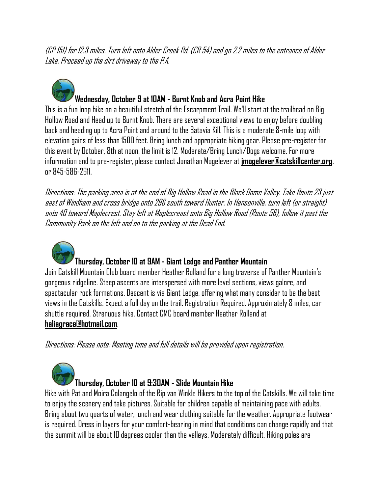(CR 151) for 12.3 miles. Turn left onto Alder Creek Rd. (CR 54) and go 2.2 miles to the entrance of Alder Lake. Proceed up the dirt driveway to the P.A.



## **Wednesday, October 9 at 10AM - Burnt Knob and Acra Point Hike**

This is a fun loop hike on a beautiful stretch of the Escarpment Trail. We'll start at the trailhead on Big Hollow Road and Head up to Burnt Knob. There are several exceptional views to enjoy before doubling back and heading up to Acra Point and around to the Batavia Kill. This is a moderate 8-mile loop with elevation gains of less than 1500 feet. Bring lunch and appropriate hiking gear. Please pre-register for this event by October, 8th at noon, the limit is 12. Moderate/Bring Lunch/Dogs welcome. For more information and to pre-register, please contact Jonathan Mogelever at **jmogelever@catskillcenter.org**, or 845-586-2611.

Directions: The parking area is at the end of Big Hollow Road in the Black Dome Valley. Take Route 23 just east of Windham and cross bridge onto 296 south toward Hunter. In Hensonville, turn left (or straight) onto 40 toward Maplecrest. Stay left at Maplecreast onto Big Hollow Road (Route 56), follow it past the Community Park on the left and on to the parking at the Dead End.



#### **Thursday, October 10 at 9AM - Giant Ledge and Panther Mountain**

Join Catskill Mountain Club board member Heather Rolland for a long traverse of Panther Mountain's gorgeous ridgeline. Steep ascents are interspersed with more level sections, views galore, and spectacular rock formations. Descent is via Giant Ledge, offering what many consider to be the best views in the Catskills. Expect a full day on the trail. Registration Required. Approximately 8 miles, car shuttle required. Strenuous hike. Contact CMC board member Heather Rolland at **haliagrace@hotmail.com**.

Directions: Please note: Meeting time and full details will be provided upon registration.



Hike with Pat and Moira Colangelo of the Rip van Winkle Hikers to the top of the Catskills. We will take time to enjoy the scenery and take pictures. Suitable for children capable of maintaining pace with adults. Bring about two quarts of water, lunch and wear clothing suitable for the weather. Appropriate footwear is required. Dress in layers for your comfort-bearing in mind that conditions can change rapidly and that the summit will be about 10 degrees cooler than the valleys. Moderately difficult. Hiking poles are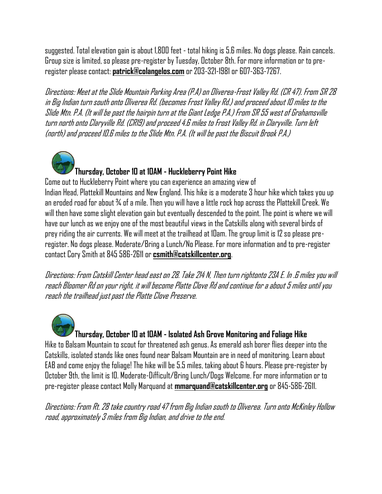suggested. Total elevation gain is about 1,800 feet - total hiking is 5.6 miles. No dogs please. Rain cancels. Group size is limited, so please pre-register by Tuesday, October 8th. For more information or to preregister please contact: **patrick@colangelos.com** or 203-321-1981 or 607-363-7267.

Directions: Meet at the Slide Mountain Parking Area (P.A) on Oliverea-Frost Valley Rd. (CR 47). From SR 28 in Big Indian turn south onto Oliverea Rd. (becomes Frost Valley Rd.) and proceed about 10 miles to the Slide Mtn. P.A. (It will be past the hairpin turn at the Giant Ledge P.A.) From SR 55 west of Grahamsville turn north onto Claryville Rd. (CR19) and proceed 4.6 miles to Frost Valley Rd. in Claryville. Turn left (north) and proceed 10.6 miles to the Slide Mtn. P.A. (It will be past the Biscuit Brook P.A.)



Come out to Huckleberry Point where you can experience an amazing view of Indian Head, Plattekill Mountains and New England. This hike is a moderate 3 hour hike which takes you up an eroded road for about ¾ of a mile. Then you will have a little rock hop across the Plattekill Creek. We will then have some slight elevation gain but eventually descended to the point. The point is where we will have our lunch as we enjoy one of the most beautiful views in the Catskills along with several birds of prey riding the air currents. We will meet at the trailhead at 10am. The group limit is 12 so please preregister. No dogs please. Moderate/Bring a Lunch/No Please. For more information and to pre-register contact Cory Smith at 845 586-2611 or **csmith@catskillcenter.org**.

Directions: From Catskill Center head east on 28. Take 214 N, Then turn rightonto 23A E. In .6 miles you will reach Bloomer Rd on your right, it will become Platte Clove Rd and continue for a about 5 miles until you reach the trailhead just past the Platte Clove Preserve.

**Thursday, October 10 at 10AM - Isolated Ash Grove Monitoring and Foliage Hike** Hike to Balsam Mountain to scout for threatened ash genus. As emerald ash borer flies deeper into the Catskills, isolated stands like ones found near Balsam Mountain are in need of monitoring. Learn about EAB and come enjoy the foliage! The hike will be 5.5 miles, taking about 6 hours. Please pre-register by October 9th, the limit is 10. Moderate-Difficult/Bring Lunch/Dogs Welcome. For more information or to

pre-register please contact Molly Marquand at **mmarquand@catskillcenter.org** or 845-586-2611.

Directions: From Rt. 28 take country road 47 from Big Indian south to Oliverea. Turn onto McKinley Hollow road, approximately 3 miles from Big Indian, and drive to the end.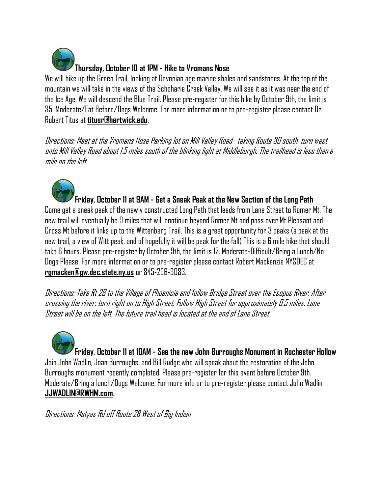

We will hike up the Green Trail, looking at Devonian age marine shales and sandstones. At the top of the mountain we will take in the views of the Schoharie Creek Valley. We will see it as it was near the end of the Ice Age. We will descend the Blue Trail. Please pre-register for this hike by October 9th, the limit is 35. Moderate/Eat Before/Dogs Welcome. For more information or to pre-register please contact Dr. Robert Titus at **titusr@hartwick.edu**.

Directions: Meet at the Vromans Nose Parking lot on Mill Valley Road--taking Route 30 south, turn west onto Mill Valley Road about 1.5 miles south of the blinking light at Middleburgh. The trailhead is less than a mile on the left.



#### **Friday, October 11 at 9AM - Get a Sneak Peak at the New Section of the Long Path**

Come get a sneak peak of the newly constructed Long Path that leads from Lane Street to Romer Mt. The new trail will eventually be 9 miles that will continue beyond Romer Mt and pass over Mt Pleasant and Cross Mt before it links up to the Wittenberg Trail. This is a great opportunity for 3 peaks (a peak at the new trail, a view of Witt peak, and of hopefully it will be peak for the fall) This is a 6 mile hike that should take 6 hours. Please pre-register by October 9th, the limit is 12. Moderate-Difficult/Bring a Lunch/No Dogs Please. For more information or to pre-register please contact Robert Mackenzie NYSDEC at **rgmacken@gw.dec.state.ny.us** or 845-256-3083.

Directions: Take Rt 28 to the Village of Phoenicia and follow Bridge Street over the Esopus River. After crossing the river, turn right on to High Street. Follow High Street for approximately 0.5 miles. Lane Street will be on the left. The future trail head is located at the end of Lane Street

**Friday, October 11 at 10AM - See the new John Burroughs Monument in Rochester Hollow** Join John Wadlin, Joan Burroughs, and Bill Rudge who will speak about the restoration of the John Burroughs monument recently completed. Please pre-register for this event before October 9th. Moderate/Bring a lunch/Dogs Welcome. For more info or to pre-register please contact John Wadlin **JJWADLIN@RWHM.com**.

Directions: Matyas Rd off Route 28 West of Big Indian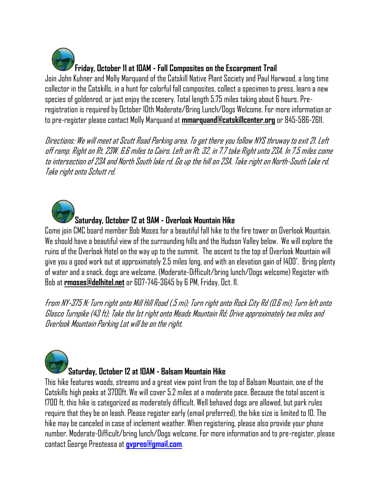**Friday, October 11 at 10AM - Fall Composites on the Escarpment Trail**

Join John Kuhner and Molly Marquand of the Catskill Native Plant Society and Paul Harwood, a long time collector in the Catskills, in a hunt for colorful fall composites, collect a specimen to press, learn a new species of goldenrod, or just enjoy the scenery. Total length 5.75 miles taking about 6 hours. Preregistration is required by October 10th Moderate/Bring Lunch/Dogs Welcome. For more information or to pre-register please contact Molly Marquand at **mmarquand@catskillcenter.org** or 845-586-2611.

Directions: We will meet at Scutt Road Parking area. To get there you follow NYS thruway to exit 21. Left off ramp. Right on Rt. 23W. 6.6 miles to Cairo. Left on Rt. 32, in 7.7 take Right unto 23A. In 7.5 miles come to intersection of 23A and North South lake rd. Go up the hill on 23A. Take right on North-South Lake rd. Take right onto Schutt rd.

## **Saturday, October 12 at 9AM - Overlook Mountain Hike**

Come join CMC board member Bob Moses for a beautiful fall hike to the fire tower on Overlook Mountain. We should have a beautiful view of the surrounding hills and the Hudson Valley below. We will explore the ruins of the Overlook Hotel on the way up to the summit. The ascent to the top of Overlook Mountain will give you a good work out at approximately 2.5 miles long, and with an elevation gain of 1400'. Bring plenty of water and a snack, dogs are welcome. (Moderate-Difficult/bring lunch/Dogs welcome) Register with Bob at **rmoses@delhitel.net** or 607-746-3645 by 6 PM, Friday, Oct. 11.

From NY-375 N: Turn right onto Mill Hill Road (.5 mi); Turn right onto Rock City Rd (0.6 mi); Turn left onto Glasco Turnpike (43 ft); Take the 1st right onto Meads Mountain Rd; Drive approximately two miles and Overlook Mountain Parking Lot will be on the right.

## **Saturday, October 12 at 10AM - Balsam Mountain Hike**

This hike features woods, streams and a great view point from the top of Balsam Mountain, one of the Catskills high peaks at 3700ft. We will cover 5.2 miles at a moderate pace. Because the total ascent is 1700 ft, this hike is categorized as moderately difficult. Well behaved dogs are allowed, but park rules require that they be on leash. Please register early (email preferred), the hike size is limited to 10. The hike may be canceled in case of inclement weather. When registering, please also provide your phone number. Moderate-Difficult/bring lunch/Dogs welcome. For more information and to pre-register, please contact George Preoteasa at **[gvpreo@gmail.com](mailto:gvpreo@gmail.com)**.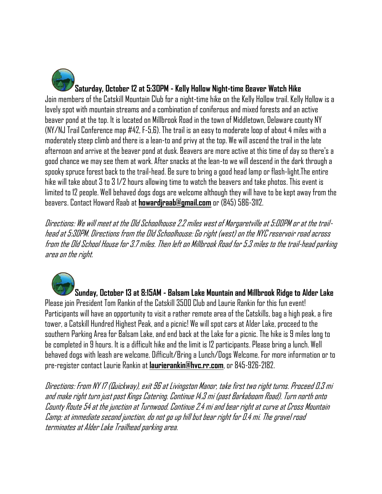**Saturday, October 12 at 5:30PM - Kelly Hollow Night-time Beaver Watch Hike** Join members of the Catskill Mountain Club for a night-time hike on the Kelly Hollow trail. Kelly Hollow is a lovely spot with mountain streams and a combination of coniferous and mixed forests and an active beaver pond at the top. It is located on Millbrook Road in the town of Middletown, Delaware county NY (NY/NJ Trail Conference map #42, F-5,6). The trail is an easy to moderate loop of about 4 miles with a moderately steep climb and there is a lean-to and privy at the top. We will ascend the trail in the late afternoon and arrive at the beaver pond at dusk. Beavers are more active at this time of day so there's a good chance we may see them at work. After snacks at the lean-to we will descend in the dark through a spooky spruce forest back to the trail-head. Be sure to bring a good head lamp or flash-light.The entire hike will take about 3 to 3 1/2 hours allowing time to watch the beavers and take photos. This event is limited to 12 people. Well behaved dogs dogs are welcome although they will have to be kept away from the beavers. Contact Howard Raab at **howardjraab@gmail.com** or (845) 586-3112.

Directions: We will meet at the Old Schoolhouse 2.2 miles west of Margaretville at 5:00PM or at the trailhead at 5:30PM. Directions from the Old Schoolhouse: Go right (west) on the NYC reservoir road across from the Old School House for 3.7 miles. Then left on Millbrook Road for 5.3 miles to the trail-head parking area on the right.

**Sunday, October 13 at 8:15AM - Balsam Lake Mountain and Millbrook Ridge to Alder Lake** Please join President Tom Rankin of the Catskill 3500 Club and Laurie Rankin for this fun event! Participants will have an opportunity to visit a rather remote area of the Catskills, bag a high peak, a fire tower, a Catskill Hundred Highest Peak, and a picnic! We will spot cars at Alder Lake, proceed to the southern Parking Area for Balsam Lake, and end back at the Lake for a picnic. The hike is 9 miles long to be completed in 9 hours. It is a difficult hike and the limit is 12 participants. Please bring a lunch. Well behaved dogs with leash are welcome. Difficult/Bring a Lunch/Dogs Welcome. For more information or to pre-register contact Laurie Rankin at **laurierankin@hvc.rr.com**, or 845-926-2182.

Directions: From NY 17 (Quickway), exit 96 at Livingston Manor, take first two right turns. Proceed 0.3 mi and make right turn just past Kings Catering. Continue 14.3 mi (past Barkaboom Road). Turn north onto County Route 54 at the junction at Turnwood. Continue 2.4 mi and bear right at curve at Cross Mountain Camp; at immediate second junction, do not go up hill but bear right for 0.4 mi. The gravel road terminates at Alder Lake Trailhead parking area.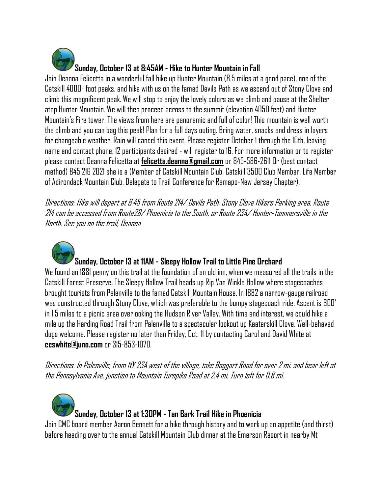

Join Deanna Felicetta in a wonderful fall hike up Hunter Mountain (8.5 miles at a good pace), one of the Catskill 4000- foot peaks, and hike with us on the famed Devils Path as we ascend out of Stony Clove and climb this magnificent peak. We will stop to enjoy the lovely colors as we climb and pause at the Shelter atop Hunter Mountain. We will then proceed across to the summit (elevation 4050 feet) and Hunter Mountain's Fire tower. The views from here are panoramic and full of color! This mountain is well worth the climb and you can bag this peak! Plan for a full days outing. Bring water, snacks and dress in layers for changeable weather. Rain will cancel this event. Please register October 1 through the 10th, leaving name and contact phone. 12 participants desired - will register to 16. For more information or to register please contact Deanna Felicetta at **felicetta.deanna@gmail.com** or 845-586-2611 Or (best contact method) 845 216 2021 she is a (Member of Catskill Mountain Club, Catskill 3500 Club Member, Life Member of Adirondack Mountain Club, Delegate to Trail Conference for Ramapo-New Jersey Chapter).

Directions: Hike will depart at 8:45 from Route 214/ Devils Path, Stony Clove Hikers Parking area. Route 214 can be accessed from Route28/ Phoenicia to the South, or Route 23A/ Hunter-Tannnersville in the North. See you on the trail, Deanna



## **Sunday, October 13 at 11AM - Sleepy Hollow Trail to Little Pine Orchard**

We found an 1881 penny on this trail at the foundation of an old inn, when we measured all the trails in the Catskill Forest Preserve. The Sleepy Hollow Trail heads up Rip Van Winkle Hollow where stagecoaches brought tourists from Palenville to the famed Catskill Mountain House. In 1882 a narrow-gauge railroad was constructed through Stony Clove, which was preferable to the bumpy stagecoach ride. Ascent is 800' in 1.5 miles to a picnic area overlooking the Hudson River Valley. With time and interest, we could hike a mile up the Harding Road Trail from Palenville to a spectacular lookout up Kaaterskill Clove. Well-behaved dogs welcome. Please register no later than Friday, Oct. 11 by contacting Carol and David White at **ccswhite@juno.com** or 315-853-1070.

Directions: In Palenville, from NY 23A west of the village, take Boggart Road for over 2 mi. and bear left at the Pennsylvania Ave. junction to Mountain Turnpike Road at 2.4 mi. Turn left for 0.8 mi.

**Sunday, October 13 at 1:30PM - Tan Bark Trail Hike in Phoenicia** Join CMC board member Aaron Bennett for a hike through history and to work up an appetite (and thirst) before heading over to the annual Catskill Mountain Club dinner at the Emerson Resort in nearby Mt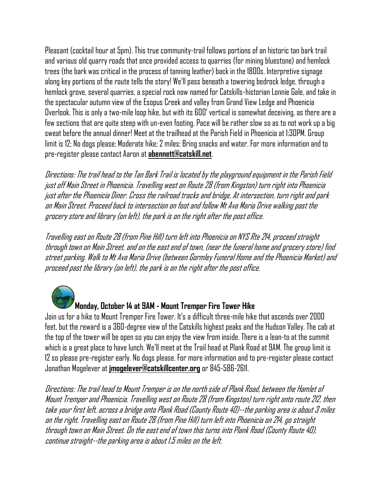Pleasant (cocktail hour at 5pm). This true community-trail follows portions of an historic tan bark trail and various old quarry roads that once provided access to quarries (for mining bluestone) and hemlock trees (the bark was critical in the process of tanning leather) back in the 1800s. Interpretive signage along key portions of the route tells the story! We'll pass beneath a towering bedrock ledge, through a hemlock grove, several quarries, a special rock now named for Catskills-historian Lonnie Gale, and take in the spectacular autumn view of the Esopus Creek and valley from Grand View Ledge and Phoenicia Overlook. This is only a two-mile loop hike, but with its 600' vertical is somewhat deceiving, as there are a few sections that are quite steep with un-even footing. Pace will be rather slow so as to not work up a big sweat before the annual dinner! Meet at the trailhead at the Parish Field in Phoenicia at 1:30PM. Group limit is 12; No dogs please; Moderate hike; 2 miles; Bring snacks and water. For more information and to pre-register please contact Aaron at **abennett@catskill.net**.

Directions: The trail head to the Tan Bark Trail is located by the playground equipment in the Parish Field just off Main Street in Phoenicia. Travelling west on Route 28 (from Kingston) turn right into Phoenicia just after the Phoenicia Diner. Cross the railroad tracks and bridge. At intersection, turn right and park on Main Street. Proceed back to intersection on foot and follow Mt Ava Maria Drive walking past the grocery store and library (on left), the park is on the right after the post office.

Travelling east on Route 28 (from Pine Hill) turn left into Phoenicia on NYS Rte 214, proceed straight through town on Main Street, and on the east end of town, (near the funeral home and grocery store) find street parking. Walk to Mt Ava Maria Drive (between Gormley Funeral Home and the Phoenicia Market) and proceed past the library (on left), the park is on the right after the post office.

#### **Monday, October 14 at 9AM - Mount Tremper Fire Tower Hike**

Join us for a hike to Mount Tremper Fire Tower. It's a difficult three-mile hike that ascends over 2000 feet, but the reward is a 360-degree view of the Catskills highest peaks and the Hudson Valley. The cab at the top of the tower will be open so you can enjoy the view from inside. There is a lean-to at the summit which is a great place to have lunch. We'll meet at the Trail head at Plank Road at 9AM. The group limit is 12 so please pre-register early. No dogs please. For more information and to pre-register please contact Jonathan Mogelever at **jmogelever@catskillcenter.org** or 845-586-2611.

Directions: The trail head to Mount Tremper is on the north side of Plank Road, between the Hamlet of Mount Tremperand Phoenicia. Travelling west on Route 28 (from Kingston) turn right onto route 212, then take your first left, across a bridge onto Plank Road (County Route 40)--the parking area is about 3 miles on the right. Travelling east on Route 28 (from Pine Hill) turn left into Phoenicia on 214, go straight through town on Main Street. On the east end of town this turns into Plank Road (County Route 40), continue straight--the parking area is about 1.5 miles on the left.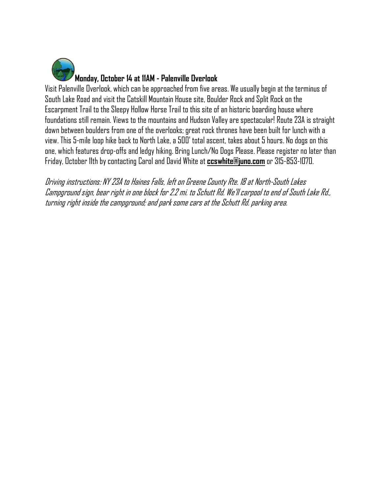

Visit Palenville Overlook, which can be approached from five areas. We usually begin at the terminus of South Lake Road and visit the Catskill Mountain House site, Boulder Rock and Split Rock on the Escarpment Trail to the Sleepy Hollow Horse Trail to this site of an historic boarding house where foundations still remain. Views to the mountains and Hudson Valley are spectacular! Route 23A is straight down between boulders from one of the overlooks; great rock thrones have been built for lunch with a view. This 5-mile loop hike back to North Lake, a 500' total ascent, takes about 5 hours. No dogs on this one, which features drop-offs and ledgy hiking. Bring Lunch/No Dogs Please. Please register no later than Friday, October 11th by contacting Carol and David White at **ccswhite@juno.com** or 315-853-1070.

<span id="page-13-0"></span>Driving instructions: NY 23A to Haines Falls, left on Greene County Rte. 18 at North-South Lakes Campground sign, bear right in one block for 2.2 mi. to Schutt Rd. We'll carpool to end of South Lake Rd., turning right inside the campground; and park some cars at the Schutt Rd. parking area.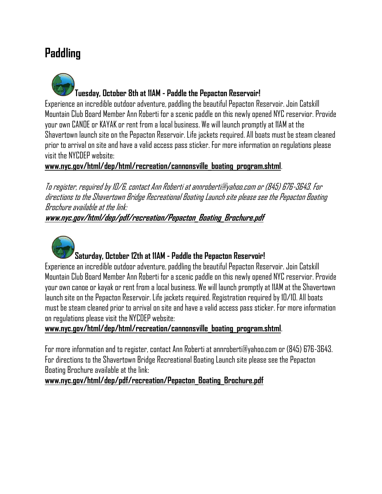# **Paddling**

**Tuesday, October 8th at 11AM - Paddle the Pepacton Reservoir!**  Experience an incredible outdoor adventure, paddling the beautiful Pepacton Reservoir. Join Catskill Mountain Club Board Member Ann Roberti for a scenic paddle on this newly opened NYC reservior. Provide

your own CANOE or KAYAK or rent from a local business. We will launch promptly at 11AM at the Shavertown launch site on the Pepacton Reservoir. Life jackets required. All boats must be steam cleaned prior to arrival on site and have a valid access pass sticker. For more information on regulations please visit the NYCDEP website:

#### **www.nyc.gov/html/dep/html/recreation/cannonsville\_boating\_program.shtml**.

To register, required by 10/6, contact Ann Roberti at annroberti@yahoo.com or (845) 676-3643. For directions to the Shavertown Bridge Recreational Boating Launch site please see the Pepacton Boating Brochure available at the link: **www.nyc.gov/html/dep/pdf/recreation/Pepacton\_Boating\_Brochure.pdf**

## **Saturday, October 12th at 11AM - Paddle the Pepacton Reservoir!**

Experience an incredible outdoor adventure, paddling the beautiful Pepacton Reservoir. Join Catskill Mountain Club Board Member Ann Roberti for a scenic paddle on this newly opened NYC reservior. Provide your own canoe or kayak or rent from a local business. We will launch promptly at 11AM at the Shavertown launch site on the Pepacton Reservoir. Life jackets required. Registration required by 10/10. All boats must be steam cleaned prior to arrival on site and have a valid access pass sticker. For more information on regulations please visit the NYCDEP website:

#### **www.nyc.gov/html/dep/html/recreation/cannonsville\_boating\_program.shtml**.

For more information and to register, contact Ann Roberti at annroberti@yahoo.com or (845) 676-3643. For directions to the Shavertown Bridge Recreational Boating Launch site please see the Pepacton Boating Brochure available at the link:

#### **www.nyc.gov/html/dep/pdf/recreation/Pepacton\_Boating\_Brochure.pdf**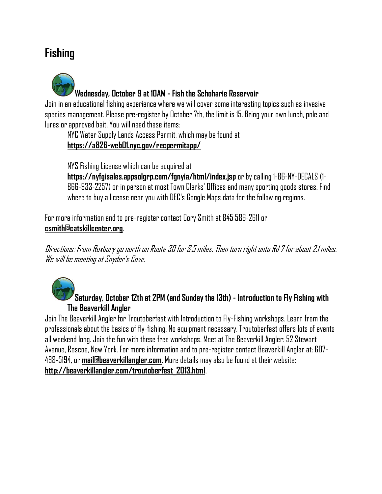# <span id="page-15-0"></span>**Fishing**



Join in an educational fishing experience where we will cover some interesting topics such as invasive species management. Please pre-register by October 7th, the limit is 15. Bring your own lunch, pole and lures or approved bait. You will need these items:

NYC Water Supply Lands Access Permit, which may be found at **https://a826-web01.nyc.gov/recpermitapp/** 

NYS Fishing License which can be acquired at

**https://nyfgisales.appsolgrp.com/fgnyia/html/index.jsp** or by calling 1-86-NY-DECALS (1- 866-933-2257) or in person at most Town Clerks' Offices and many sporting goods stores. Find where to buy a license near you with DEC's Google Maps data for the following regions.

For more information and to pre-register contact Cory Smith at 845 586-2611 or **csmith@catskillcenter.org**.

Directions: From Roxbury go north on Route 30 for 8.5 miles. Then turn right onto Rd 7 for about 2.1 miles. We will be meeting at Snyder's Cove.



**Saturday, October 12th at 2PM (and Sunday the 13th) - Introduction to Fly Fishing with The Beaverkill Angler** 

Join The Beaverkill Angler for Troutoberfest with Introduction to Fly-Fishing workshops. Learn from the professionals about the basics of fly-fishing. No equipment necessary. Troutoberfest offers lots of events all weekend long. Join the fun with these free workshops. Meet at The Beaverkill Angler: 52 Stewart Avenue, Roscoe, New York. For more information and to pre-register contact Beaverkill Angler at: 607- 498-5194, or **mail@beaverkillangler.com**. More details may also be found at their website: **http://beaverkillangler.com/troutoberfest\_2013.html**.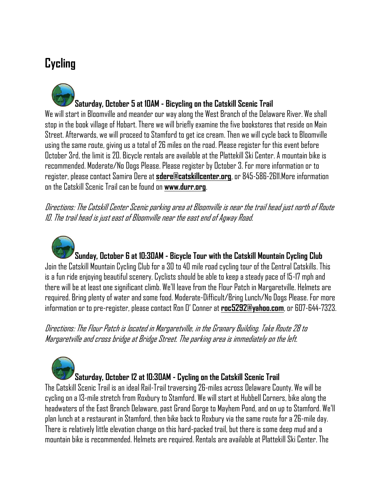# <span id="page-16-0"></span>**Cycling**

**Saturday, October 5 at 10AM - Bicycling on the Catskill Scenic Trail**

We will start in Bloomville and meander our way along the West Branch of the Delaware River. We shall stop in the book village of Hobart. There we will briefly examine the five bookstores that reside on Main Street. Afterwards, we will proceed to Stamford to get ice cream. Then we will cycle back to Bloomville using the same route, giving us a total of 26 miles on the road. Please register for this event before October 3rd, the limit is 20. Bicycle rentals are available at the Plattekill Ski Center. A mountain bike is recommended. Moderate/No Dogs Please. Please register by October 3. For more information or to register, please contact Samira Dere at **sdere@catskillcenter.org**, or 845-586-2611.More information on the Catskill Scenic Trail can be found on **www.durr.org**.

Directions: The Catskill Center Scenic parking area at Bloomville is near the trail head just north of Route 10. The trail head is just east of Bloomville near the east end of Agway Road.

**Sunday, October 6 at 10:30AM - Bicycle Tour with the Catskill Mountain Cycling Club** Join the Catskill Mountain Cycling Club for a 30 to 40 mile road cycling tour of the Central Catskills. This is a fun ride enjoying beautiful scenery. Cyclists should be able to keep a steady pace of 15-17 mph and there will be at least one significant climb. We'll leave from the Flour Patch in Margaretville. Helmets are required. Bring plenty of water and some food. Moderate-Difficult/Bring Lunch/No Dogs Please. For more information or to pre-register, please contact Ron O' Conner at **roc5292@yahoo.com**, or 607-644-7323.

Directions: The Flour Patch is located in Margaretville, in the Granary Building. Take Route 28 to Margaretville and cross bridge at Bridge Street. The parking area is immediately on the left.

# **Saturday, October 12 at 10:30AM - Cycling on the Catskill Scenic Trail**

The Catskill Scenic Trail is an ideal Rail-Trail traversing 26-miles across Delaware County. We will be cycling on a 13-mile stretch from Roxbury to Stamford. We will start at Hubbell Corners, bike along the headwaters of the East Branch Delaware, past Grand Gorge to Mayhem Pond, and on up to Stamford. We'll plan lunchat a restaurant in Stamford, then bike back to Roxbury via the same route for a 26-mile day. There is relatively little elevation change on this hard-packed trail, but there is some deep mud and a mountain bike is recommended. Helmets are required. Rentals are available at Plattekill Ski Center. The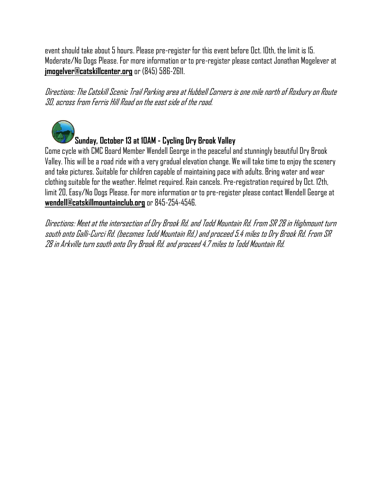event should take about 5 hours. Please pre-register for this event before Oct. 10th, the limit is 15. Moderate/No Dogs Please. For more information or to pre-register please contact Jonathan Mogelever at **jmogelver@catskillcenter.org** or (845) 586-2611.

Directions: The Catskill Scenic Trail Parking area at Hubbell Corners is one mile north of Roxbury on Route 30, across from Ferris Hill Road on the east side of the road.



# **Sunday, October 13 at 10AM - Cycling Dry Brook Valley**

Come cycle with CMC Board Member Wendell George in the peaceful and stunningly beautiful Dry Brook Valley. This will be a road ride with a very gradual elevation change. We will take time to enjoy the scenery and take pictures. Suitable for children capable of maintaining pace with adults. Bring water and wear clothing suitable for the weather. Helmet required. Rain cancels. Pre-registration required by Oct. 12th, limit 20, Easy/No Dogs Please. For more information or to pre-register please contact Wendell George at **wendell@catskillmountainclub.org** or 845-254-4546.

Directions: Meet at the intersection of Dry Brook Rd. and Todd Mountain Rd. From SR 28 in Highmount turn south onto Galli-Curci Rd. (becomes Todd Mountain Rd.) and proceed 5.4 miles to Dry Brook Rd. From SR 28 in Arkville turn south onto Dry Brook Rd. and proceed 4.7 miles to Todd Mountain Rd.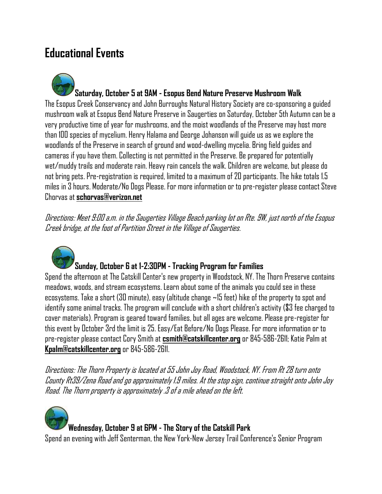# <span id="page-18-0"></span>**Educational Events**

**Saturday, October 5 at 9AM - Esopus Bend Nature Preserve Mushroom Walk** The Esopus Creek Conservancy and John Burroughs Natural History Society are co-sponsoring a guided mushroom walk at Esopus Bend Nature Preserve in Saugerties on Saturday, October 5th Autumn can be a very productive time of year for mushrooms, and the moist woodlands of the Preserve may host more than 100 species of mycelium. Henry Halama and George Johanson will guide us as we explore the woodlands of the Preserve in search of ground and wood-dwelling mycelia. Bring field guides and cameras if you have them. Collecting is not permitted in the Preserve. Be prepared for potentially wet/muddy trails and moderate rain. Heavy rain cancels the walk. Children are welcome, but please do not bring pets. Pre-registration is required, limited to a maximum of 20 participants. The hike totals 1.5 miles in 3 hours. Moderate/No Dogs Please. For more information or to pre-register please contact Steve Chorvas at **schorvas@verizon.net**

Directions: Meet 9:00 a.m. in the Saugerties Village Beach parking lot on Rte. 9W, just north of the Esopus Creek bridge, at the foot of Partition Street in the Village of Saugerties.



## **Sunday, October 6 at 1-2:30PM - Tracking Program for Families**

Spend the afternoon at The Catskill Center's new property in Woodstock, NY. The Thorn Preserve contains meadows, woods, and stream ecosystems. Learn about some of the animals you could see in these ecosystems. Take a short (30 minute), easy (altitude change ~15 feet) hike of the property to spot and identify some animal tracks. The program will conclude with a short children's activity (\$3 fee charged to cover materials). Program is geared toward families, but all ages are welcome. Please pre-register for this event by October 3rd the limit is 25. Easy/Eat Before/No Dogs Please. For more information or to pre-register please contact Cory Smith at **csmith@catskillcenter.org** or 845-586-2611; Katie Palm at **Kpalm@catskillcenter.org** or 845-586-2611.

Directions: The Thorn Property is located at 55 John Joy Road, Woodstock, NY. From Rt 28 turn onto County Rt39/Zena Road and go approximately 1.9 miles. At the stop sign, continue straight onto John Joy Road. The Thorn property is approximately .3 of a mile ahead on the left.

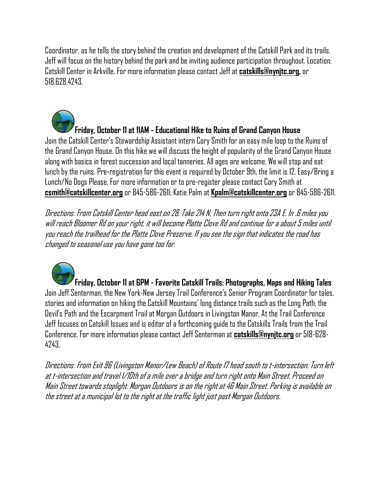Coordinator, as he tells the story behind the creation and development of the Catskill Park and its trails. Jeff will focus on the history behind the park and be inviting audience participation throughout. Location: Catskill Center in Arkville. For more information please contact Jeff at **catskills@nynjtc.org,** or 518.628.4243.

## **Friday, October 11 at 11AM - Educational Hike to Ruins of Grand Canyon House**

Join the Catskill Center's Stewardship Assistant intern Cory Smith for an easy mile loop to the Ruins of the Grand Canyon House. On this hike we will discuss the height of popularity of the Grand Canyon House along with basics in forest succession and local tanneries. All ages are welcome. We will stop and eat lunch by the ruins. Pre-registration for this event is required by October 9th, the limit is 12. Easy/Bring a Lunch/No Dogs Please. For more information or to pre-register please contact Cory Smith at **csmith@catskillcenter.org** or 845-586-2611; Katie Palm at **Kpalm@catskillcenter.org** or 845-586-2611.

Directions: From Catskill Center head east on 28. Take 214 N, Then turn right onto 23A E. In .6 miles you will reach Bloomer Rd on your right, it will become Platte Clove Rd and continue for a about 5 miles until you reach the trailhead for the Platte Clove Preserve. If you see the sign that indicates the road has changed to seasonal use you have gone too far.



**Friday, October 11 at 6PM - Favorite Catskill Trails: Photographs, Maps and Hiking Tales** Join Jeff Senterman, the New York-New Jersey Trail Conference's Senior Program Coordinator for tales, stories and information on hiking the Catskill Mountains' long distance trails such as the Long Path, the Devil's Path and the Escarpment Trail at Morgan Outdoors in Livingston Manor. At the Trail Conference Jeff focuses on Catskill Issues and is editor of a forthcoming guide to the Catskills Trails from the Trail Conference. For more information please contact Jeff Senterman at **catskills@nynjtc.org** or 518-628- 4243.

Directions: From Exit 96 (Livingston Manor/Lew Beach) of Route 17 head south to t-intersection. Turn left at t-intersection and travel 1/10th of a mile over a bridge and turn right onto Main Street. Proceed on Main Street towards stoplight. Morgan Outdoors is on the right at 46 Main Street. Parking is available on the street at a municipal lot to the right at the traffic light just past Morgan Outdoors.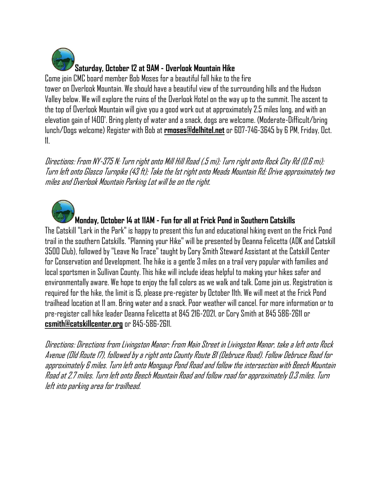

Come join CMC board member Bob Moses for a beautiful fall hike to the fire tower on Overlook Mountain. We should have a beautiful view of the surrounding hills and the Hudson Valley below. We will explore the ruins of the Overlook Hotel on the way up to the summit. The ascent to the top of Overlook Mountain will give you a good work out at approximately 2.5 miles long, and with an elevation gain of 1400'. Bring plenty of water and a snack, dogs are welcome. (Moderate-Difficult/bring lunch/Dogs welcome) Register with Bob at **rmoses@delhitel.net** or 607-746-3645 by 6 PM, Friday, Oct. 11.

Directions: From NY-375 N: Turn right onto Mill Hill Road (.5 mi); Turn right onto Rock City Rd (0.6 mi); Turn left onto Glasco Turnpike (43 ft); Take the 1st right onto Meads Mountain Rd; Drive approximately two miles and Overlook Mountain Parking Lot will be on the right.

**Monday, October 14 at 11AM - Fun for all at Frick Pond in Southern Catskills**

The Catskill "Lark in the Park" is happy to present this fun and educational hiking event on the Frick Pond trail in the southern Catskills. "Planning your Hike" will be presented by Deanna Felicetta (ADK and Catskill 3500 Club), followed by "Leave No Trace" taught by Cory Smith Steward Assistant at the Catskill Center for Conservation and Development. The hike is a gentle 3 miles on a trail very popular with families and local sportsmen in Sullivan County. This hike will include ideas helpful to making your hikes safer and environmentally aware. We hope to enjoy the fall colors as we walk and talk. Come join us. Registration is required for the hike, the limit is 15, please pre-register by October 11th. We will meet at the Frick Pond trailhead location at 11 am. Bring water and a snack. Poor weather will cancel. For more information or to pre-register call hike leader Deanna Felicetta at 845 216-2021, or Cory Smith at 845 586-2611 or **csmith@catskillcenter.org** or 845-586-2611.

Directions: Directions from Livingston Manor: From Main Street in Livingston Manor, take a left onto Rock Avenue (Old Route 17), followed by a right onto County Route 81 (Debruce Road). Follow Debruce Road for approximately 6 miles. Turn left onto Mongaup Pond Road and follow the intersection with Beech Mountain Road at 2.7 miles. Turn left onto Beech Mountain Road and follow road for approximately 0.3 miles. Turn left into parking area for trailhead.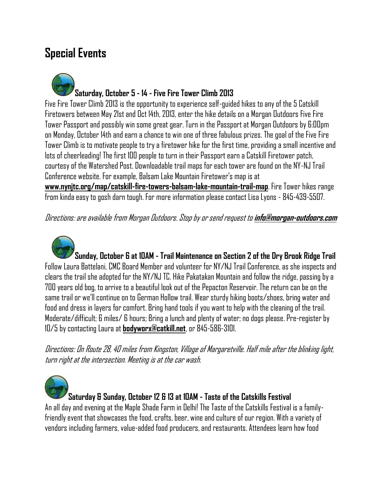# <span id="page-21-0"></span>**Special Events**

**Saturday, October 5 - 14 - Five Fire Tower Climb 2013**

Five Fire Tower Climb 2013 is the opportunity to experience self-guided hikes to any of the 5 Catskill Firetowers between May 21st and Oct 14th, 2013, enter the hike details on a Morgan Outdoors Five Fire Tower Passport and possibly win some great gear. Turn in the Passport at Morgan Outdoors by 6:00pm on Monday, October 14th and earn a chance to win one of three fabulous prizes. The goal of the Five Fire Tower Climb is to motivate people to try a firetower hike for the first time, providing a small incentive and lots of cheerleading! The first 100 people to turn in their Passport earn a Catskill Firetower patch, courtesy of the Watershed Post. Downloadable trail maps for each tower are found on the NY-NJ Trail Conference website. For example, Balsam Lake Mountain Firetower's map is at **www.nynjtc.org/map/catskill-fire-towers-balsam-lake-mountain-trail-map**. Fire Tower hikes range from kinda easy to gosh darn tough. For more information please contact Lisa Lyons - 845-439-5507.

Directions: are available from Morgan Outdoors. Stop by or send request to **info@morgan-outdoors.com**

**Sunday, October 6 at 10AM - Trail Maintenance on Section 2 of the Dry Brook Ridge Trail** Follow Laura Battelani, CMC Board Member and volunteer for NY/NJ Trail Conference, as she inspects and clears the trail she adopted for the NY/NJ TC. Hike Pakatakan Mountain and follow the ridge, passing by a 700 years old bog, to arrive to a beautiful look out of the Pepacton Reservoir. The return can be on the same trail or we'll continue on to German Hollow trail. Wear sturdy hiking boots/shoes, bring water and food and dress in layers for comfort. Bring hand tools if you want to help with the cleaning of the trail. Moderate/difficult; 6 miles/ 6 hours; Bring a lunch and plenty of water; no dogs please. Pre-register by 10/5 by contacting Laura at **bodyworx@catkill.net**, or 845-586-3101.

Directions: On Route 28, 40 miles from Kingston, Village of Margaretville. Half mile after the blinking light, turn right at the intersection. Meeting is at the car wash.



**Saturday & Sunday, October 12 & 13 at 10AM - Taste of the Catskills Festival**

An all day and evening at the Maple Shade Farm in Delhi! The Taste of the Catskills Festival is a familyfriendly event that showcases the food, crafts, beer, wine and culture of our region. With a variety of vendors including farmers, value-added food producers, and restaurants. Attendees learn how food